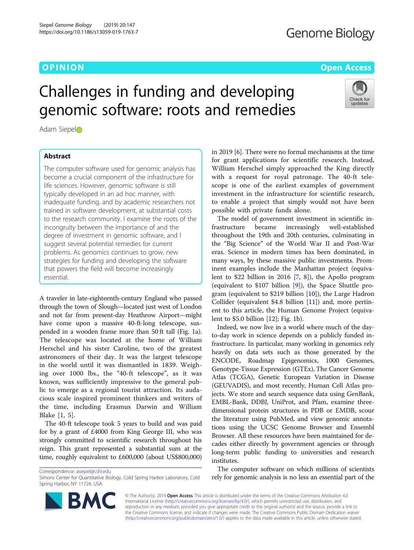# O PINION Open Access

Check for updates

# Challenges in funding and developing genomic software: roots and remedies

Adam Siepel<sub>D</sub>

# Abstract

The computer software used for genomic analysis has become a crucial component of the infrastructure for life sciences. However, genomic software is still typically developed in an ad hoc manner, with inadequate funding, and by academic researchers not trained in software development, at substantial costs to the research community. I examine the roots of the incongruity between the importance of and the degree of investment in genomic software, and I suggest several potential remedies for current problems. As genomics continues to grow, new strategies for funding and developing the software that powers the field will become increasingly essential.

A traveler in late-eighteenth-century England who passed through the town of Slough—located just west of London and not far from present-day Heathrow Airport—might have come upon a massive 40-ft-long telescope, suspended in a wooden frame more than 50 ft tall (Fig. [1](#page-1-0)a). The telescope was located at the home of William Herschel and his sister Caroline, two of the greatest astronomers of their day. It was the largest telescope in the world until it was dismantled in 1839. Weighing over 1000 lbs., the "40-ft telescope", as it was known, was sufficiently impressive to the general public to emerge as a regional tourist attraction. Its audacious scale inspired prominent thinkers and writers of the time, including Erasmus Darwin and William Blake [\[1](#page-10-0), [5\]](#page-10-0).

The 40-ft telescope took 5 years to build and was paid for by a grant of £4000 from King George III, who was strongly committed to scientific research throughout his reign. This grant represented a substantial sum at the time, roughly equivalent to £600,000 (about US\$800,000)

Correspondence: [asiepel@cshl.edu](mailto:asiepel@cshl.edu)

Simons Center for Quantitative Biology, Cold Spring Harbor Laboratory, Cold Spring Harbor, NY 11724, USA

in 2019 [\[6](#page-10-0)]. There were no formal mechanisms at the time for grant applications for scientific research. Instead, William Herschel simply approached the King directly with a request for royal patronage. The 40-ft telescope is one of the earliest examples of government investment in the infrastructure for scientific research, to enable a project that simply would not have been possible with private funds alone.

The model of government investment in scientific infrastructure became increasingly well-established throughout the 19th and 20th centuries, culminating in the "Big Science" of the World War II and Post-War eras. Science in modern times has been dominated, in many ways, by these massive public investments. Prominent examples include the Manhattan project (equivalent to \$22 billion in 2016 [[7,](#page-10-0) [8\]](#page-10-0)), the Apollo program (equivalent to \$107 billion [[9](#page-10-0)]), the Space Shuttle program (equivalent to \$219 billion  $[10]$  $[10]$  $[10]$ ), the Large Hadron Collider (equivalent  $$4.8$  billion  $[11]$ ) and, more pertinent to this article, the Human Genome Project (equivalent to \$5.0 billion [\[12](#page-10-0)]; Fig. [1b](#page-1-0)).

Indeed, we now live in a world where much of the dayto-day work in science depends on a publicly funded infrastructure. In particular, many working in genomics rely heavily on data sets such as those generated by the ENCODE, Roadmap Epigenomics, 1000 Genomes, Genotype-Tissue Expression (GTEx), The Cancer Genome Atlas (TCGA), Genetic European Variation in Disease (GEUVADIS), and most recently, Human Cell Atlas projects. We store and search sequence data using GenBank, EMBL-Bank, DDBJ, UniProt, and Pfam, examine threedimensional protein structures in PDB or EMDB, scour the literature using PubMed, and view genomic annotations using the UCSC Genome Browser and Ensembl Browser. All these resources have been maintained for decades either directly by government agencies or through long-term public funding to universities and research institutes.

The computer software on which millions of scientists rely for genomic analysis is no less an essential part of the



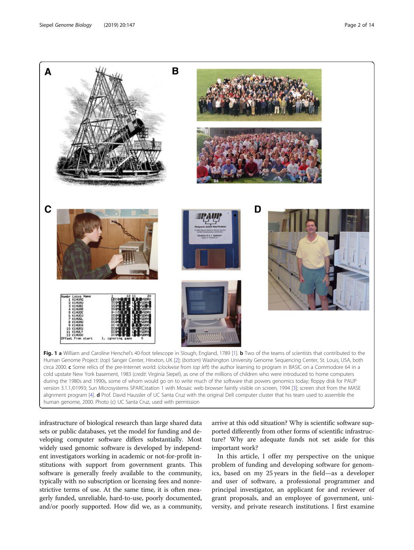<span id="page-1-0"></span>

version 3.1.1,©1993; Sun Microsystems SPARCstation 1 with Mosaic web browser faintly visible on screen, 1994 [[3\]](#page-10-0); screen shot from the MASE alignment program [[4](#page-10-0)]. d Prof. David Haussler of UC Santa Cruz with the original Dell computer cluster that his team used to assemble the human genome, 2000. Photo (c) UC Santa Cruz, used with permission

infrastructure of biological research than large shared data sets or public databases, yet the model for funding and developing computer software differs substantially. Most widely used genomic software is developed by independent investigators working in academic or not-for-profit institutions with support from government grants. This software is generally freely available to the community, typically with no subscription or licensing fees and nonrestrictive terms of use. At the same time, it is often meagerly funded, unreliable, hard-to-use, poorly documented, and/or poorly supported. How did we, as a community,

arrive at this odd situation? Why is scientific software supported differently from other forms of scientific infrastructure? Why are adequate funds not set aside for this important work?

In this article, I offer my perspective on the unique problem of funding and developing software for genomics, based on my 25 years in the field—as a developer and user of software, a professional programmer and principal investigator, an applicant for and reviewer of grant proposals, and an employee of government, university, and private research institutions. I first examine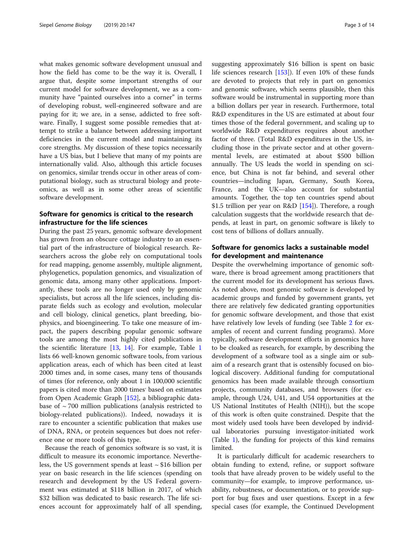what makes genomic software development unusual and how the field has come to be the way it is. Overall, I argue that, despite some important strengths of our current model for software development, we as a community have "painted ourselves into a corner" in terms of developing robust, well-engineered software and are paying for it; we are, in a sense, addicted to free software. Finally, I suggest some possible remedies that attempt to strike a balance between addressing important deficiencies in the current model and maintaining its core strengths. My discussion of these topics necessarily have a US bias, but I believe that many of my points are internationally valid. Also, although this article focuses on genomics, similar trends occur in other areas of computational biology, such as structural biology and proteomics, as well as in some other areas of scientific software development.

# Software for genomics is critical to the research infrastructure for the life sciences

During the past 25 years, genomic software development has grown from an obscure cottage industry to an essential part of the infrastructure of biological research. Researchers across the globe rely on computational tools for read mapping, genome assembly, multiple alignment, phylogenetics, population genomics, and visualization of genomic data, among many other applications. Importantly, these tools are no longer used only by genomic specialists, but across all the life sciences, including disparate fields such as ecology and evolution, molecular and cell biology, clinical genetics, plant breeding, biophysics, and bioengineering. To take one measure of impact, the papers describing popular genomic software tools are among the most highly cited publications in the scientific literature [\[13](#page-10-0), [14](#page-10-0)]. For example, Table [1](#page-3-0) lists 66 well-known genomic software tools, from various application areas, each of which has been cited at least 2000 times and, in some cases, many tens of thousands of times (for reference, only about 1 in 100,000 scientific papers is cited more than 2000 times' based on estimates from Open Academic Graph [\[152\]](#page-13-0), a bibliographic database of  $\sim$  700 million publications (analysis restricted to biology-related publications)). Indeed, nowadays it is rare to encounter a scientific publication that makes use of DNA, RNA, or protein sequences but does not reference one or more tools of this type.

Because the reach of genomics software is so vast, it is difficult to measure its economic importance. Nevertheless, the US government spends at least  $\sim$  \$16 billion per year on basic research in the life sciences (spending on research and development by the US Federal government was estimated at \$118 billion in 2017, of which \$32 billion was dedicated to basic research. The life sciences account for approximately half of all spending, suggesting approximately \$16 billion is spent on basic life sciences research [[153\]](#page-13-0)). If even 10% of these funds are devoted to projects that rely in part on genomics and genomic software, which seems plausible, then this software would be instrumental in supporting more than a billion dollars per year in research. Furthermore, total R&D expenditures in the US are estimated at about four times those of the federal government, and scaling up to worldwide R&D expenditures requires about another factor of three. (Total R&D expenditures in the US, including those in the private sector and at other governmental levels, are estimated at about \$500 billion annually. The US leads the world in spending on science, but China is not far behind, and several other countries—including Japan, Germany, South Korea, France, and the UK—also account for substantial amounts. Together, the top ten countries spend about \$1.5 trillion per year on R&D [\[154\]](#page-13-0)). Therefore, a rough calculation suggests that the worldwide research that depends, at least in part, on genomic software is likely to cost tens of billions of dollars annually.

# Software for genomics lacks a sustainable model for development and maintenance

Despite the overwhelming importance of genomic software, there is broad agreement among practitioners that the current model for its development has serious flaws. As noted above, most genomic software is developed by academic groups and funded by government grants, yet there are relatively few dedicated granting opportunities for genomic software development, and those that exist have relatively low levels of funding (see Table [2](#page-6-0) for examples of recent and current funding programs). More typically, software development efforts in genomics have to be cloaked as research, for example, by describing the development of a software tool as a single aim or subaim of a research grant that is ostensibly focused on biological discovery. Additional funding for computational genomics has been made available through consortium projects, community databases, and browsers (for example, through U24, U41, and U54 opportunities at the US National Institutes of Health (NIH)), but the scope of this work is often quite constrained. Despite that the most widely used tools have been developed by individual laboratories pursuing investigator-initiated work (Table [1](#page-3-0)), the funding for projects of this kind remains limited.

It is particularly difficult for academic researchers to obtain funding to extend, refine, or support software tools that have already proven to be widely useful to the community—for example, to improve performance, usability, robustness, or documentation, or to provide support for bug fixes and user questions. Except in a few special cases (for example, the Continued Development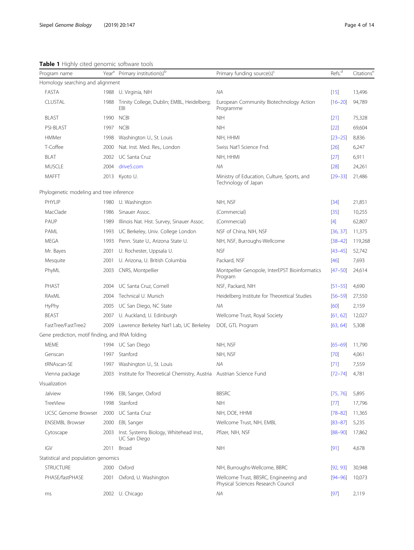# <span id="page-3-0"></span>Table 1 Highly cited genomic software tools

| Program name                                    | Year <sup>a</sup> | Primary institution(s) <sup>b</sup>                                     | Primary funding source(s) <sup>c</sup>                                       | Refs. <sup>d</sup> | Citations |
|-------------------------------------------------|-------------------|-------------------------------------------------------------------------|------------------------------------------------------------------------------|--------------------|-----------|
| Homology searching and alignment                |                   |                                                                         |                                                                              |                    |           |
| <b>FASTA</b>                                    | 1988              | U. Virginia, NIH                                                        | NA                                                                           | $[15]$             | 13,496    |
| CLUSTAL                                         | 1988              | Trinity College, Dublin; EMBL, Heidelberg;<br>EBI                       | European Community Biotechnology Action<br>Programme                         | $[16 - 20]$        | 94,789    |
| <b>BLAST</b>                                    | 1990              | <b>NCBI</b>                                                             | <b>NIH</b>                                                                   | $[21]$             | 75,328    |
| <b>PSI-BLAST</b>                                | 1997              | <b>NCBI</b>                                                             | <b>NIH</b>                                                                   | $[22]$             | 69,604    |
| <b>HMMer</b>                                    | 1998              | Washington U., St. Louis                                                | NIH, HHMI                                                                    | $[23 - 25]$        | 8,836     |
| T-Coffee                                        | 2000              | Nat. Inst. Med. Res., London                                            | Swiss Nat'l Science Fnd.                                                     | $[26]$             | 6,247     |
| <b>BLAT</b>                                     | 2002              | UC Santa Cruz                                                           | NIH, HHMI                                                                    | $[27]$             | 6,911     |
| <b>MUSCLE</b>                                   | 2004              | drive5.com                                                              | ΝA                                                                           | $[28]$             | 24,261    |
| <b>MAFFT</b>                                    | 2013              | Kyoto U.                                                                | Ministry of Education, Culture, Sports, and<br>Technology of Japan           | $[29 - 33]$        | 21,486    |
| Phylogenetic modeling and tree inference        |                   |                                                                         |                                                                              |                    |           |
| PHYLIP                                          |                   | 1980 U. Washington                                                      | NIH, NSF                                                                     | $[34]$             | 21,851    |
| MacClade                                        | 1986              | Sinauer Assoc.                                                          | (Commercial)                                                                 | $[35]$             | 10,255    |
| PAUP                                            | 1989              | Illinois Nat. Hist. Survey, Sinauer Assoc.                              | (Commercial)                                                                 | $[4]$              | 62,807    |
| PAML                                            | 1993              | UC Berkeley, Univ. College London                                       | NSF of China, NIH, NSF                                                       | [36, 37]           | 11,375    |
| MEGA                                            | 1993              | Penn. State U., Arizona State U.                                        | NIH, NSF, Burroughs-Wellcome                                                 | $[38 - 42]$        | 119,268   |
| Mr. Bayes                                       | 2001              | U. Rochester, Uppsala U.                                                | <b>NSF</b>                                                                   | $[43 - 45]$        | 52,742    |
| Mesquite                                        | 2001              | U. Arizona, U. British Columbia                                         | Packard, NSF                                                                 | $[46]$             | 7,693     |
| PhyML                                           | 2003              | CNRS, Montpellier                                                       | Montpellier Genopole, InterEPST Bioinformatics<br>Program                    | $[47 - 50]$        | 24,614    |
| PHAST                                           |                   | 2004 UC Santa Cruz, Cornell                                             | NSF, Packard, NIH                                                            | $[51 - 55]$        | 4,690     |
| RAxML                                           |                   | 2004 Technical U. Munich                                                | Heidelberg Institute for Theoretical Studies                                 | $[56 - 59]$        | 27,550    |
| HyPhy                                           | 2005              | UC San Diego, NC State                                                  | ΝA                                                                           | [60]               | 2,159     |
| <b>BEAST</b>                                    | 2007              | U. Auckland, U. Edinburgh                                               | Wellcome Trust, Royal Society                                                | [61, 62]           | 12,027    |
| FastTree/FastTree2                              |                   | 2009 Lawrence Berkeley Nat'l Lab, UC Berkeley                           | DOE, GTL Program                                                             | [63, 64]           | 5,308     |
| Gene prediction, motif finding, and RNA folding |                   |                                                                         |                                                                              |                    |           |
| <b>MEME</b>                                     |                   | 1994 UC San Diego                                                       | NIH, NSF                                                                     | $[65 - 69]$        | 11,790    |
| Genscan                                         | 1997              | Stanford                                                                | NIH, NSF                                                                     | $[70]$             | 4,061     |
| tRNAscan-SE                                     | 1997              | Washington U., St. Louis                                                | NA                                                                           | [71]               | 7,559     |
| Vienna package                                  |                   | 2003 Institute for Theoretical Chemistry, Austria Austrian Science Fund |                                                                              | $[72 - 74]$        | 4,781     |
| Visualization                                   |                   |                                                                         |                                                                              |                    |           |
| Jalview                                         | 1996              | EBI, Sanger, Oxford                                                     | <b>BBSRC</b>                                                                 | [75, 76]           | 5,895     |
| TreeView                                        | 1998              | Stanford                                                                | <b>NIH</b>                                                                   | $[77]$             | 17,796    |
| <b>UCSC Genome Browser</b>                      | 2000              | <b>UC Santa Cruz</b>                                                    | NIH, DOE, HHMI                                                               | $[78 - 82]$        | 11,365    |
| <b>ENSEMBL Browser</b>                          | 2000              | EBI, Sanger                                                             | Wellcome Trust, NIH, EMBL                                                    | $[83 - 87]$        | 5,235     |
| Cytoscape                                       | 2003              | Inst. Systems Biology, Whitehead Inst.,<br>UC San Diego                 | Pfizer, NIH, NSF                                                             | $[88 - 90]$        | 17,862    |
| IGV                                             | 2011              | Broad                                                                   | <b>NIH</b>                                                                   | $[91]$             | 4,678     |
| Statistical and population genomics             |                   |                                                                         |                                                                              |                    |           |
| <b>STRUCTURE</b>                                |                   | 2000 Oxford                                                             | NIH, Burroughs-Wellcome, BBRC                                                | [92, 93]           | 30,948    |
| PHASE/fastPHASE                                 | 2001              | Oxford, U. Washington                                                   | Wellcome Trust, BBSRC, Engineering and<br>Physical Sciences Research Council | $[94 - 96]$        | 10,073    |

ms 2002 U. Chicago NA NA NA [\[97\]](#page-12-0) 2,119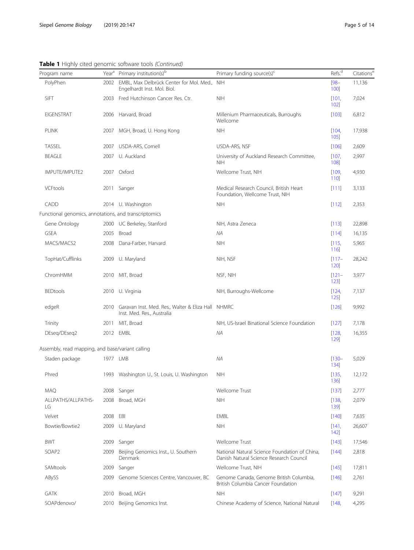| Program name                                          | Year <sup>a</sup> | Primary institution(s) <sup>b</sup>                                              | Primary funding source(s) $c$                                                            | Refs. <sup>d</sup> | Citation <sup></sup> |
|-------------------------------------------------------|-------------------|----------------------------------------------------------------------------------|------------------------------------------------------------------------------------------|--------------------|----------------------|
| PolyPhen                                              | 2002              | EMBL, Max Delbrück Center for Mol. Med., NIH<br>Engelhardt Inst. Mol. Biol.      |                                                                                          | $[98 -$<br>100     | 11,136               |
| <b>SIFT</b>                                           |                   | 2003 Fred Hutchinson Cancer Res. Ctr.                                            | <b>NIH</b>                                                                               | [101,<br>102]      | 7,024                |
| <b>EIGENSTRAT</b>                                     |                   | 2006 Harvard, Broad                                                              | Millenium Pharmaceuticals, Burroughs<br>Wellcome                                         | [103]              | 6,812                |
| <b>PLINK</b>                                          | 2007              | MGH, Broad, U. Hong Kong                                                         | <b>NIH</b>                                                                               | [104,<br>105]      | 17,938               |
| <b>TASSEL</b>                                         |                   | 2007 USDA-ARS, Cornell                                                           | USDA-ARS, NSF                                                                            | [106]              | 2,609                |
| <b>BEAGLE</b>                                         | 2007              | U. Auckland                                                                      | University of Auckland Research Committee,<br><b>NIH</b>                                 | [107,<br>108]      | 2,997                |
| IMPUTE/IMPUTE2                                        |                   | 2007 Oxford                                                                      | Wellcome Trust, NIH                                                                      | [109, 100]<br>110] | 4,930                |
| <b>VCFtools</b>                                       |                   | 2011 Sanger                                                                      | Medical Research Council, British Heart<br>Foundation, Wellcome Trust, NIH               | [111]              | 3,133                |
| CADD                                                  |                   | 2014 U. Washington                                                               | <b>NIH</b>                                                                               | [112]              | 2,353                |
| Functional genomics, annotations, and transcriptomics |                   |                                                                                  |                                                                                          |                    |                      |
| Gene Ontology                                         |                   | 2000 UC Berkeley, Stanford                                                       | NIH, Astra Zeneca                                                                        | [113]              | 22,898               |
| <b>GSEA</b>                                           | 2005              | Broad                                                                            | ΝA                                                                                       | [114]              | 16,135               |
| MACS/MACS2                                            | 2008              | Dana-Farber, Harvard                                                             | <b>NIH</b>                                                                               | [115,<br>116]      | 5,965                |
| TopHat/Cufflinks                                      |                   | 2009 U. Maryland                                                                 | NIH, NSF                                                                                 | $[117-$<br>120]    | 28,242               |
| ChromHMM                                              |                   | 2010 MIT, Broad                                                                  | NSF, NIH                                                                                 | $[121-$<br>123]    | 3,977                |
| <b>BEDtools</b>                                       |                   | 2010 U. Virginia                                                                 | NIH, Burroughs-Wellcome                                                                  | [124,<br>125]      | 7,137                |
| edgeR                                                 | 2010              | Garavan Inst. Med. Res., Walter & Eliza Hall NHMRC<br>Inst. Med. Res., Australia |                                                                                          | $[126]$            | 9,992                |
| Trinity                                               | 2011              | MIT, Broad                                                                       | NIH, US-Israel Binational Science Foundation                                             | $[127]$            | 7,178                |
| DEseq/DEseq2                                          |                   | 2012 EMBL                                                                        | ΝA                                                                                       | [128,<br>129]      | 16,355               |
| Assembly, read mapping, and base/variant calling      |                   |                                                                                  |                                                                                          |                    |                      |
| Staden package                                        | 1977 LMB          |                                                                                  | ΝA                                                                                       | $[130 -$<br>134]   | 5,029                |
| Phred                                                 |                   | 1993 Washington U., St. Louis, U. Washington                                     | <b>NIH</b>                                                                               | [135,<br>136]      | 12,172               |
| <b>MAQ</b>                                            |                   | 2008 Sanger                                                                      | Wellcome Trust                                                                           | $[137]$            | 2,777                |
| ALLPATHS/ALLPATHS-<br>LG                              | 2008              | Broad, MGH                                                                       | <b>NIH</b>                                                                               | [138,<br>139]      | 2,079                |
| Velvet                                                | 2008              | EBI                                                                              | <b>EMBL</b>                                                                              | $[140]$            | 7,635                |
| Bowtie/Bowtie2                                        | 2009              | U. Maryland                                                                      | <b>NIH</b>                                                                               | [141,<br>142]      | 26,607               |
| <b>BWT</b>                                            | 2009              | Sanger                                                                           | Wellcome Trust                                                                           | $[143]$            | 17,546               |
| SOAP <sub>2</sub>                                     | 2009              | Beijing Genomics Inst., U. Southern<br>Denmark                                   | National Natural Science Foundation of China,<br>Danish Natural Science Research Council | $[144]$            | 2,818                |
| SAMtools                                              | 2009              | Sanger                                                                           | Wellcome Trust, NIH                                                                      | $[145]$            | 17,811               |
| ABySS                                                 | 2009              | Genome Sciences Centre, Vancouver, BC                                            | Genome Canada, Genome British Columbia,<br>British Columbia Cancer Foundation            | $[146]$            | 2,761                |
| <b>GATK</b>                                           | 2010              | Broad, MGH                                                                       | <b>NIH</b>                                                                               | $[147]$            | 9,291                |
| SOAPdenovo/                                           | 2010              | Beijing Genomics Inst.                                                           | Chinese Academy of Science, National Natural                                             | [148, 1]           | 4,295                |

Table 1 Highly cited genomic software tools (Continued)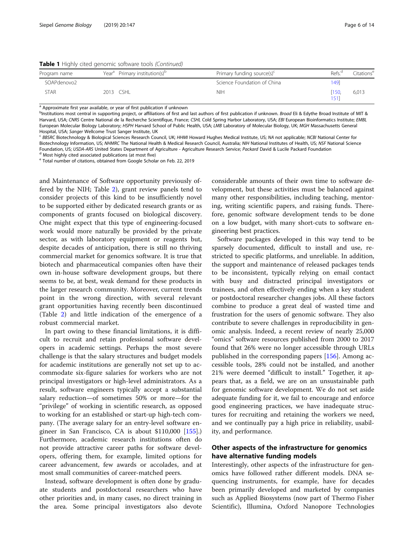Table 1 Highly cited genomic software tools (Continued)

| Program name | Year <sup>d</sup> Primary institution(s) <sup>D</sup> | Primary funding source(s) <sup>c</sup> | Citations <sup>e</sup><br>Refs. <sup>a</sup> |
|--------------|-------------------------------------------------------|----------------------------------------|----------------------------------------------|
| SOAPdenovo2  |                                                       | Science Foundation of China            | 1491                                         |
| <b>STAR</b>  | 2013 CSHL                                             | NIH                                    | 6,013<br>150,<br>151                         |

<sup>a</sup> Approximate first year available, or year of first publication if unknown

b<br>Institutions most central in supporting project, or affiliations of first and last authors of first publication if unknown. *Broad* Eli & Edythe Broad Institute of MIT & Harvard, USA; CNRS Centre National de la Recherche Scientifique, France; CSHL Cold Spring Harbor Laboratory, USA; EBI European Bioinformatics Institute; EMBL European Molecular Biology Laboratory; HSPH Harvard School of Public Health, USA; LMB Laboratory of Molecular Biology, UK; MGH Massachusetts General Hospital, USA; Sanger Wellcome Trust Sanger Institute, UK

<sup>c</sup> BBSRC Biotechnology & Biological Sciences Research Council, UK; HHMI Howard Hughes Medical Institute, US; NA not applicable; NCBI National Center for Biotechnology Information, US; NHMRC The National Health & Medical Research Council, Australia; NIH National Institutes of Health, US; NSF National Science Foundation, US; USDA-ARS United States Department of Agriculture - Agriculture Research Service; Packard David & Lucile Packard Foundation d<br><sup>d</sup> Most highly cited associated publications (at most five)

<sup>e</sup> Total number of citations, obtained from Google Scholar on Feb. 22, 2019

and Maintenance of Software opportunity previously offered by the NIH; Table [2](#page-6-0)), grant review panels tend to consider projects of this kind to be insufficiently novel to be supported either by dedicated research grants or as components of grants focused on biological discovery. One might expect that this type of engineering-focused work would more naturally be provided by the private sector, as with laboratory equipment or reagents but, despite decades of anticipation, there is still no thriving commercial market for genomics software. It is true that biotech and pharmaceutical companies often have their own in-house software development groups, but there seems to be, at best, weak demand for these products in the larger research community. Moreover, current trends point in the wrong direction, with several relevant grant opportunities having recently been discontinued (Table [2\)](#page-6-0) and little indication of the emergence of a robust commercial market.

In part owing to these financial limitations, it is difficult to recruit and retain professional software developers in academic settings. Perhaps the most severe challenge is that the salary structures and budget models for academic institutions are generally not set up to accommodate six-figure salaries for workers who are not principal investigators or high-level administrators. As a result, software engineers typically accept a substantial salary reduction—of sometimes 50% or more—for the "privilege" of working in scientific research, as opposed to working for an established or start-up high-tech company. (The average salary for an entry-level software engineer in San Francisco, CA is about \$110,000 [\[155](#page-13-0)].) Furthermore, academic research institutions often do not provide attractive career paths for software developers, offering them, for example, limited options for career advancement, few awards or accolades, and at most small communities of career-matched peers.

Instead, software development is often done by graduate students and postdoctoral researchers who have other priorities and, in many cases, no direct training in the area. Some principal investigators also devote

considerable amounts of their own time to software development, but these activities must be balanced against many other responsibilities, including teaching, mentoring, writing scientific papers, and raising funds. Therefore, genomic software development tends to be done on a low budget, with many short-cuts to software engineering best practices.

Software packages developed in this way tend to be sparsely documented, difficult to install and use, restricted to specific platforms, and unreliable. In addition, the support and maintenance of released packages tends to be inconsistent, typically relying on email contact with busy and distracted principal investigators or trainees, and often effectively ending when a key student or postdoctoral researcher changes jobs. All these factors combine to produce a great deal of wasted time and frustration for the users of genomic software. They also contribute to severe challenges in reproducibility in genomic analysis. Indeed, a recent review of nearly 25,000 "omics" software resources published from 2000 to 2017 found that 26% were no longer accessible through URLs published in the corresponding papers [[156](#page-13-0)]. Among accessible tools, 28% could not be installed, and another 21% were deemed "difficult to install." Together, it appears that, as a field, we are on an unsustainable path for genomic software development. We do not set aside adequate funding for it, we fail to encourage and enforce good engineering practices, we have inadequate structures for recruiting and retaining the workers we need, and we continually pay a high price in reliability, usability, and performance.

# Other aspects of the infrastructure for genomics have alternative funding models

Interestingly, other aspects of the infrastructure for genomics have followed rather different models. DNA sequencing instruments, for example, have for decades been primarily developed and marketed by companies such as Applied Biosystems (now part of Thermo Fisher Scientific), Illumina, Oxford Nanopore Technologies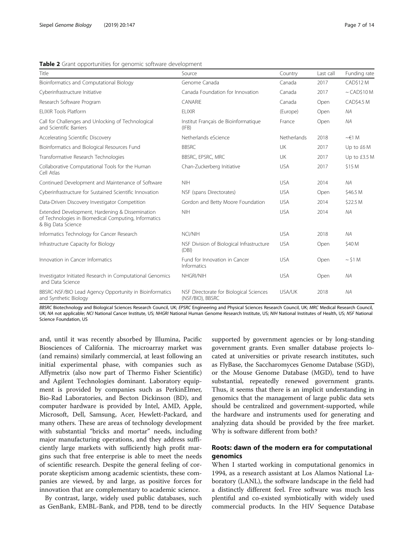| Title                                                                                                                         | Source                                                      | Country     | Last call | Funding rate     |
|-------------------------------------------------------------------------------------------------------------------------------|-------------------------------------------------------------|-------------|-----------|------------------|
| Bioinformatics and Computational Biology                                                                                      | Genome Canada                                               | Canada      | 2017      | CAD\$12 M        |
| Cyberinfrastructure Initiative                                                                                                | Canada Foundation for Innovation                            | Canada      | 2017      | $\sim$ CAD\$10 M |
| Research Software Program                                                                                                     | CANARIE                                                     | Canada      | Open      | CAD\$4.5 M       |
| <b>ELIXIR Tools Platform</b>                                                                                                  | <b>ELIXIR</b>                                               | (Europe)    | Open      | NA               |
| Call for Challenges and Unlocking of Technological<br>and Scientific Barriers                                                 | Institut Français de Bioinformatique<br>(IFB)               | France      | Open      | <b>NA</b>        |
| Accelerating Scientific Discovery                                                                                             | Netherlands eScience                                        | Netherlands | 2018      | $\sim \in 1$ M   |
| Bioinformatics and Biological Resources Fund                                                                                  | <b>BBSRC</b>                                                | UK          | 2017      | Up to £6 M       |
| Transformative Research Technologies                                                                                          | BBSRC, EPSRC, MRC                                           | UK          | 2017      | Up to $£3.5 N$   |
| Collaborative Computational Tools for the Human<br>Cell Atlas                                                                 | Chan-Zuckerberg Initiative                                  | <b>USA</b>  | 2017      | \$15 M           |
| Continued Development and Maintenance of Software                                                                             | <b>NIH</b>                                                  | <b>USA</b>  | 2014      | <b>NA</b>        |
| Cyberinfrastructure for Sustained Scientific Innovation                                                                       | NSF (spans Directorates)                                    | <b>USA</b>  | Open      | \$46.5 M         |
| Data-Driven Discovery Investigator Competition                                                                                | Gordon and Betty Moore Foundation                           | <b>USA</b>  | 2014      | \$22.5 M         |
| Extended Development, Hardening & Dissemination<br>of Technologies in Biomedical Computing, Informatics<br>& Big Data Science | <b>NIH</b>                                                  | <b>USA</b>  | 2014      | NA               |
| Informatics Technology for Cancer Research                                                                                    | <b>NCI/NIH</b>                                              | <b>USA</b>  | 2018      | <b>NA</b>        |
| Infrastructure Capacity for Biology                                                                                           | NSF Division of Biological Infrastructure<br>(DBI)          | <b>USA</b>  | Open      | \$40 M           |
| Innovation in Cancer Informatics                                                                                              | Fund for Innovation in Cancer<br>Informatics                | <b>USA</b>  | Open      | $\sim$ \$1 M     |
| Investigator Initiated Research in Computational Genomics<br>and Data Science                                                 | NHGRI/NIH                                                   | <b>USA</b>  | Open      | NA               |
| BBSRC-NSF/BIO Lead Agency Opportunity in Bioinformatics<br>and Synthetic Biology                                              | NSF Directorate for Biological Sciences<br>(NSF/BIO), BBSRC | USA/UK      | 2018      | NA               |

<span id="page-6-0"></span>

|  | Table 2 Grant opportunities for genomic software development |  |
|--|--------------------------------------------------------------|--|
|  |                                                              |  |

BBSRC Biotechnology and Biological Sciences Research Council, UK; EPSRC Engineering and Physical Sciences Research Council, UK; MRC Medical Research Council, UK; NA not applicable; NCJ National Cancer Institute, US; NHGRI National Human Genome Research Institute, US; N/H National Institutes of Health, US; NSF National Science Foundation, US

and, until it was recently absorbed by Illumina, Pacific Biosciences of California. The microarray market was (and remains) similarly commercial, at least following an initial experimental phase, with companies such as Affymetrix (also now part of Thermo Fisher Scientific) and Agilent Technologies dominant. Laboratory equipment is provided by companies such as PerkinElmer, Bio-Rad Laboratories, and Becton Dickinson (BD), and computer hardware is provided by Intel, AMD, Apple, Microsoft, Dell, Samsung, Acer, Hewlett-Packard, and many others. These are areas of technology development with substantial "bricks and mortar" needs, including major manufacturing operations, and they address sufficiently large markets with sufficiently high profit margins such that free enterprise is able to meet the needs of scientific research. Despite the general feeling of corporate skepticism among academic scientists, these companies are viewed, by and large, as positive forces for innovation that are complementary to academic science.

By contrast, large, widely used public databases, such as GenBank, EMBL-Bank, and PDB, tend to be directly

supported by government agencies or by long-standing government grants. Even smaller database projects located at universities or private research institutes, such as FlyBase, the Saccharomyces Genome Database (SGD), or the Mouse Genome Database (MGD), tend to have substantial, repeatedly renewed government grants. Thus, it seems that there is an implicit understanding in genomics that the management of large public data sets should be centralized and government-supported, while the hardware and instruments used for generating and analyzing data should be provided by the free market. Why is software different from both?

# Roots: dawn of the modern era for computational genomics

When I started working in computational genomics in 1994, as a research assistant at Los Alamos National Laboratory (LANL), the software landscape in the field had a distinctly different feel. Free software was much less plentiful and co-existed symbiotically with widely used commercial products. In the HIV Sequence Database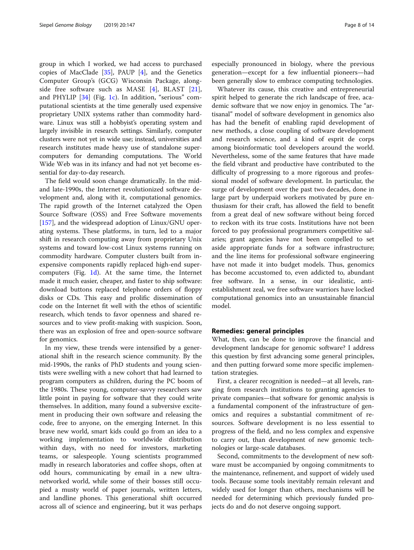group in which I worked, we had access to purchased copies of MacClade  $[35]$  $[35]$ , PAUP  $[4]$ , and the Genetics Computer Group's (GCG) Wisconsin Package, alongside free software such as MASE [\[4](#page-10-0)], BLAST [\[21](#page-10-0)], and PHYLIP [\[34](#page-11-0)] (Fig. [1c\)](#page-1-0). In addition, "serious" computational scientists at the time generally used expensive proprietary UNIX systems rather than commodity hardware. Linux was still a hobbyist's operating system and largely invisible in research settings. Similarly, computer clusters were not yet in wide use; instead, universities and research institutes made heavy use of standalone supercomputers for demanding computations. The World Wide Web was in its infancy and had not yet become essential for day-to-day research.

The field would soon change dramatically. In the midand late-1990s, the Internet revolutionized software development and, along with it, computational genomics. The rapid growth of the Internet catalyzed the Open Source Software (OSS) and Free Software movements [[157\]](#page-13-0), and the widespread adoption of Linux/GNU operating systems. These platforms, in turn, led to a major shift in research computing away from proprietary Unix systems and toward low-cost Linux systems running on commodity hardware. Computer clusters built from inexpensive components rapidly replaced high-end supercomputers (Fig.  $1d$ ). At the same time, the Internet made it much easier, cheaper, and faster to ship software: download buttons replaced telephone orders of floppy disks or CDs. This easy and prolific dissemination of code on the Internet fit well with the ethos of scientific research, which tends to favor openness and shared resources and to view profit-making with suspicion. Soon, there was an explosion of free and open-source software for genomics.

In my view, these trends were intensified by a generational shift in the research science community. By the mid-1990s, the ranks of PhD students and young scientists were swelling with a new cohort that had learned to program computers as children, during the PC boom of the 1980s. These young, computer-savvy researchers saw little point in paying for software that they could write themselves. In addition, many found a subversive excitement in producing their own software and releasing the code, free to anyone, on the emerging Internet. In this brave new world, smart kids could go from an idea to a working implementation to worldwide distribution within days, with no need for investors, marketing teams, or salespeople. Young scientists programmed madly in research laboratories and coffee shops, often at odd hours, communicating by email in a new ultranetworked world, while some of their bosses still occupied a musty world of paper journals, written letters, and landline phones. This generational shift occurred across all of science and engineering, but it was perhaps especially pronounced in biology, where the previous generation—except for a few influential pioneers—had been generally slow to embrace computing technologies.

Whatever its cause, this creative and entrepreneurial spirit helped to generate the rich landscape of free, academic software that we now enjoy in genomics. The "artisanal" model of software development in genomics also has had the benefit of enabling rapid development of new methods, a close coupling of software development and research science, and a kind of esprit de corps among bioinformatic tool developers around the world. Nevertheless, some of the same features that have made the field vibrant and productive have contributed to the difficulty of progressing to a more rigorous and professional model of software development. In particular, the surge of development over the past two decades, done in large part by underpaid workers motivated by pure enthusiasm for their craft, has allowed the field to benefit from a great deal of new software without being forced to reckon with its true costs. Institutions have not been forced to pay professional programmers competitive salaries; grant agencies have not been compelled to set aside appropriate funds for a software infrastructure; and the line items for professional software engineering have not made it into budget models. Thus, genomics has become accustomed to, even addicted to, abundant free software. In a sense, in our idealistic, antiestablishment zeal, we free software warriors have locked computational genomics into an unsustainable financial model.

#### Remedies: general principles

What, then, can be done to improve the financial and development landscape for genomic software? I address this question by first advancing some general principles, and then putting forward some more specific implementation strategies.

First, a clearer recognition is needed—at all levels, ranging from research institutions to granting agencies to private companies—that software for genomic analysis is a fundamental component of the infrastructure of genomics and requires a substantial commitment of resources. Software development is no less essential to progress of the field, and no less complex and expensive to carry out, than development of new genomic technologies or large-scale databases.

Second, commitments to the development of new software must be accompanied by ongoing commitments to the maintenance, refinement, and support of widely used tools. Because some tools inevitably remain relevant and widely used for longer than others, mechanisms will be needed for determining which previously funded projects do and do not deserve ongoing support.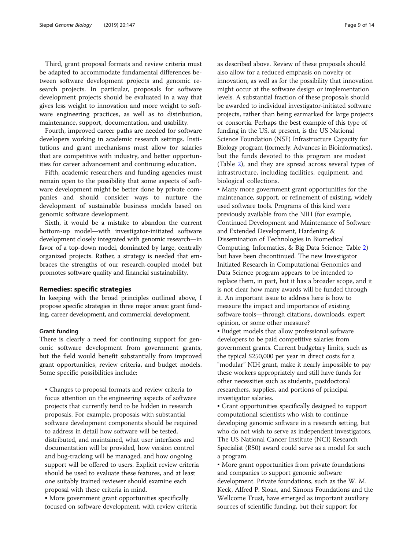Third, grant proposal formats and review criteria must be adapted to accommodate fundamental differences between software development projects and genomic research projects. In particular, proposals for software development projects should be evaluated in a way that gives less weight to innovation and more weight to software engineering practices, as well as to distribution, maintenance, support, documentation, and usability.

Fourth, improved career paths are needed for software developers working in academic research settings. Institutions and grant mechanisms must allow for salaries that are competitive with industry, and better opportunities for career advancement and continuing education.

Fifth, academic researchers and funding agencies must remain open to the possibility that some aspects of software development might be better done by private companies and should consider ways to nurture the development of sustainable business models based on genomic software development.

Sixth, it would be a mistake to abandon the current bottom-up model—with investigator-initiated software development closely integrated with genomic research—in favor of a top-down model, dominated by large, centrally organized projects. Rather, a strategy is needed that embraces the strengths of our research-coupled model but promotes software quality and financial sustainability.

#### Remedies: specific strategies

In keeping with the broad principles outlined above, I propose specific strategies in three major areas: grant funding, career development, and commercial development.

#### Grant funding

There is clearly a need for continuing support for genomic software development from government grants, but the field would benefit substantially from improved grant opportunities, review criteria, and budget models. Some specific possibilities include:

▪ Changes to proposal formats and review criteria to focus attention on the engineering aspects of software projects that currently tend to be hidden in research proposals. For example, proposals with substantial software development components should be required to address in detail how software will be tested, distributed, and maintained, what user interfaces and documentation will be provided, how version control and bug-tracking will be managed, and how ongoing support will be offered to users. Explicit review criteria should be used to evaluate these features, and at least one suitably trained reviewer should examine each proposal with these criteria in mind.

▪ More government grant opportunities specifically focused on software development, with review criteria as described above. Review of these proposals should also allow for a reduced emphasis on novelty or innovation, as well as for the possibility that innovation might occur at the software design or implementation levels. A substantial fraction of these proposals should be awarded to individual investigator-initiated software projects, rather than being earmarked for large projects or consortia. Perhaps the best example of this type of funding in the US, at present, is the US National Science Foundation (NSF) Infrastructure Capacity for Biology program (formerly, Advances in Bioinformatics), but the funds devoted to this program are modest (Table [2\)](#page-6-0), and they are spread across several types of infrastructure, including facilities, equipment, and biological collections.

▪ Many more government grant opportunities for the maintenance, support, or refinement of existing, widely used software tools. Programs of this kind were previously available from the NIH (for example, Continued Development and Maintenance of Software and Extended Development, Hardening & Dissemination of Technologies in Biomedical Computing, Informatics, & Big Data Science; Table [2\)](#page-6-0) but have been discontinued. The new Investigator Initiated Research in Computational Genomics and Data Science program appears to be intended to replace them, in part, but it has a broader scope, and it is not clear how many awards will be funded through it. An important issue to address here is how to measure the impact and importance of existing software tools—through citations, downloads, expert opinion, or some other measure?

▪ Budget models that allow professional software developers to be paid competitive salaries from government grants. Current budgetary limits, such as the typical \$250,000 per year in direct costs for a "modular" NIH grant, make it nearly impossible to pay these workers appropriately and still have funds for other necessities such as students, postdoctoral researchers, supplies, and portions of principal investigator salaries.

▪ Grant opportunities specifically designed to support computational scientists who wish to continue developing genomic software in a research setting, but who do not wish to serve as independent investigators. The US National Cancer Institute (NCI) Research Specialist (R50) award could serve as a model for such a program.

▪ More grant opportunities from private foundations and companies to support genomic software development. Private foundations, such as the W. M. Keck, Alfred P. Sloan, and Simons Foundations and the Wellcome Trust, have emerged as important auxiliary sources of scientific funding, but their support for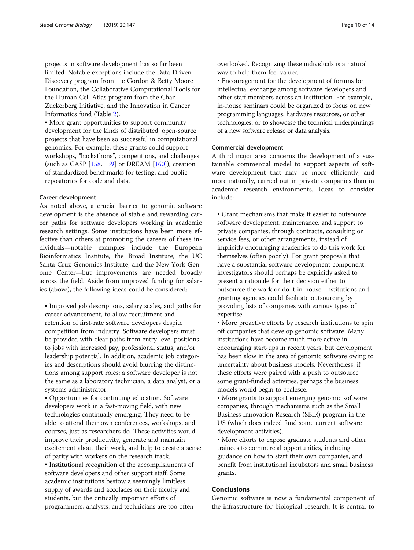projects in software development has so far been limited. Notable exceptions include the Data-Driven Discovery program from the Gordon & Betty Moore Foundation, the Collaborative Computational Tools for the Human Cell Atlas program from the Chan-Zuckerberg Initiative, and the Innovation in Cancer Informatics fund (Table [2\)](#page-6-0).

▪ More grant opportunities to support community development for the kinds of distributed, open-source projects that have been so successful in computational genomics. For example, these grants could support workshops, "hackathons", competitions, and challenges (such as CASP  $[158, 159]$  $[158, 159]$  $[158, 159]$  $[158, 159]$  or DREAM  $[160]$  $[160]$  $[160]$ ), creation of standardized benchmarks for testing, and public repositories for code and data.

#### Career development

As noted above, a crucial barrier to genomic software development is the absence of stable and rewarding career paths for software developers working in academic research settings. Some institutions have been more effective than others at promoting the careers of these individuals—notable examples include the European Bioinformatics Institute, the Broad Institute, the UC Santa Cruz Genomics Institute, and the New York Genome Center—but improvements are needed broadly across the field. Aside from improved funding for salaries (above), the following ideas could be considered:

▪ Improved job descriptions, salary scales, and paths for career advancement, to allow recruitment and retention of first-rate software developers despite competition from industry. Software developers must be provided with clear paths from entry-level positions to jobs with increased pay, professional status, and/or leadership potential. In addition, academic job categories and descriptions should avoid blurring the distinctions among support roles; a software developer is not the same as a laboratory technician, a data analyst, or a systems administrator.

▪ Opportunities for continuing education. Software developers work in a fast-moving field, with new technologies continually emerging. They need to be able to attend their own conferences, workshops, and courses, just as researchers do. These activities would improve their productivity, generate and maintain excitement about their work, and help to create a sense of parity with workers on the research track. ▪ Institutional recognition of the accomplishments of software developers and other support staff. Some academic institutions bestow a seemingly limitless supply of awards and accolades on their faculty and students, but the critically important efforts of programmers, analysts, and technicians are too often

overlooked. Recognizing these individuals is a natural way to help them feel valued.

▪ Encouragement for the development of forums for intellectual exchange among software developers and other staff members across an institution. For example, in-house seminars could be organized to focus on new programming languages, hardware resources, or other technologies, or to showcase the technical underpinnings of a new software release or data analysis.

### Commercial development

A third major area concerns the development of a sustainable commercial model to support aspects of software development that may be more efficiently, and more naturally, carried out in private companies than in academic research environments. Ideas to consider include:

▪ Grant mechanisms that make it easier to outsource software development, maintenance, and support to private companies, through contracts, consulting or service fees, or other arrangements, instead of implicitly encouraging academics to do this work for themselves (often poorly). For grant proposals that have a substantial software development component, investigators should perhaps be explicitly asked to present a rationale for their decision either to outsource the work or do it in-house. Institutions and granting agencies could facilitate outsourcing by providing lists of companies with various types of expertise.

▪ More proactive efforts by research institutions to spin off companies that develop genomic software. Many institutions have become much more active in encouraging start-ups in recent years, but development has been slow in the area of genomic software owing to uncertainty about business models. Nevertheless, if these efforts were paired with a push to outsource some grant-funded activities, perhaps the business models would begin to coalesce.

• More grants to support emerging genomic software companies, through mechanisms such as the Small Business Innovation Research (SBIR) program in the US (which does indeed fund some current software development activities).

▪ More efforts to expose graduate students and other trainees to commercial opportunities, including guidance on how to start their own companies, and benefit from institutional incubators and small business grants.

# Conclusions

Genomic software is now a fundamental component of the infrastructure for biological research. It is central to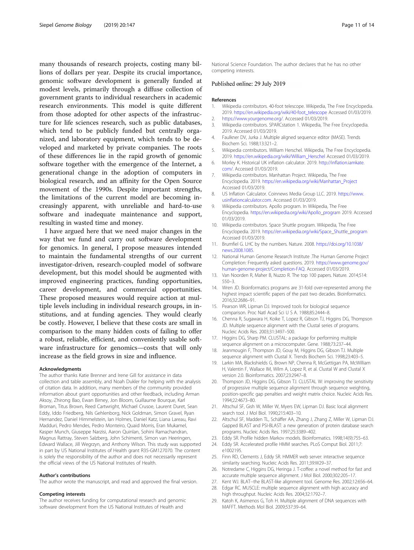<span id="page-10-0"></span>many thousands of research projects, costing many billions of dollars per year. Despite its crucial importance, genomic software development is generally funded at modest levels, primarily through a diffuse collection of government grants to individual researchers in academic research environments. This model is quite different from those adopted for other aspects of the infrastructure for life sciences research, such as public databases, which tend to be publicly funded but centrally organized, and laboratory equipment, which tends to be developed and marketed by private companies. The roots of these differences lie in the rapid growth of genomic software together with the emergence of the Internet, a generational change in the adoption of computers in biological research, and an affinity for the Open Source movement of the 1990s. Despite important strengths, the limitations of the current model are becoming increasingly apparent, with unreliable and hard-to-use software and inadequate maintenance and support, resulting in wasted time and money.

I have argued here that we need major changes in the way that we fund and carry out software development for genomics. In general, I propose measures intended to maintain the fundamental strengths of our current investigator-driven, research-coupled model of software development, but this model should be augmented with improved engineering practices, funding opportunities, career development, and commercial opportunities. These proposed measures would require action at multiple levels including in individual research groups, in institutions, and at funding agencies. They would clearly be costly. However, I believe that these costs are small in comparison to the many hidden costs of failing to offer a robust, reliable, efficient, and conveniently usable software infrastructure for genomics—costs that will only increase as the field grows in size and influence.

#### Acknowledgments

The author thanks Katie Brenner and Irene Gill for assistance in data collection and table assembly, and Noah Dukler for helping with the analysis of citation data. In addition, many members of the community provided information about grant opportunities and other feedback, including Arman Aksoy, Zhirong Bao, Ewan Birney, Jon Bloom, Guillaume Bourque, Karl Broman, Titus Brown, Reed Cartwright, Michael Crusoe, Laurent Duret, Sean Eddy, Iddo Friedberg, Nils Gehlenborg, Nick Goldman, Simon Gravel, Ryan Hernandez, Daniel Himmelstein, Ian Holmes, Daniel Katz, Liana Lareau, Ravi Madduri, Pedro Mendes, Pedro Monteiro, Quaid Morris, Eran Mukamel, Kasper Munch, Giuseppe Narzisi, Aaron Quinlan, Sohini Ramachandran, Magnus Rattray, Steven Salzberg, John Schimenti, Simon van Heeringen, Edward Wallace, Jill Wegrzyn, and Anthony Wilson. This study was supported in part by US National Institutes of Health grant R35-GM127070. The content is solely the responsibility of the author and does not necessarily represent the official views of the US National Institutes of Health.

#### Author's contributions

The author wrote the manuscript, and read and approved the final version.

#### Competing interests

The author receives funding for computational research and genomic software development from the US National Institutes of Health and

National Science Foundation. The author declares that he has no other competing interests.

#### Published online: 29 July 2019

#### References

- 1. Wikipedia contributors. 40-foot telescope. Wikipedia, The Free Encyclopedia. 2019. https://en.wikipedia.org/wiki/40-foot\_telescope Accessed 01/03/2019.
- 2. https://www.yourgenome.org/. Accessed 01/03/2019.
- 3. Wikipedia contributors. SPARCstation 1. Wikipedia, The Free Encyclopedia. 2019. Accessed 01/03/2019.
- 4. Faulkner DV, Jurka J. Multiple aligned sequence editor (MASE). Trends Biochem Sci. 1988;13:321–2.
- 5. Wikipedia contributors. William Herschel. Wikipedia, The Free Encyclopedia. 2019. https://en.wikipedia.org/wiki/William\_Herschel Accessed 01/03/2019.
- 6. Morley K. Historical UK inflation calculator. 2019. http://inflation.iamkate. com/. Accessed 01/03/2019.
- 7. Wikipedia contributors. Manhattan Project. Wikipedia, The Free Encyclopedia. 2019. https://en.wikipedia.org/wiki/Manhattan\_Project Accessed 01/03/2019.
- 8. US Inflation Calculator. Coinnews Media Group LLC. 2019. https://www. usinflationcalculator.com. Accessed 01/03/2019.
- 9. Wikipedia contributors. Apollo program. In Wikipedia, The Free Encyclopedia. https://en.wikipedia.org/wiki/Apollo\_program 2019. Accessed 01/03/2019.
- 10. Wikipedia contributors. Space Shuttle program. Wikipedia, The Free Encyclopedia. 2019. https://en.wikipedia.org/wiki/Space\_Shuttle\_program Accessed 01/03/2019.
- 11. Brumfiel G. LHC by the numbers. Nature. 2008. https://doi.org/10.1038/ news.2008.1085.
- 12. National Human Genome Research Institute .The Human Genome Project Completion: Frequently asked questions. 2019. https://www.genome.gov/ human-genome-project/Completion-FAQ. Accessed 01/03/2019.
- 13. Van Noorden R, Maher B, Nuzzo R. The top 100 papers. Nature. 2014;514: 550–3.
- 14. Wren JD. Bioinformatics programs are 31-fold over-represented among the highest impact scientific papers of the past two decades. Bioinformatics. 2016;32:2686–91.
- 15. Pearson WR, Lipman DJ. Improved tools for biological sequence comparison. Proc Natl Acad Sci U S A. 1988;85:2444–8.
- 16. Chenna R, Sugawara H, Koike T, Lopez R, Gibson TJ, Higgins DG, Thompson JD. Multiple sequence alignment with the Clustal series of programs. Nucleic Acids Res. 2003;31:3497–500.
- 17. Higgins DG, Sharp PM. CLUSTAL: a package for performing multiple sequence alignment on a microcomputer. Gene. 1988;73:237–44.
- 18. Jeanmougin F, Thompson JD, Gouy M, Higgins DG, Gibson TJ. Multiple sequence alignment with Clustal X. Trends Biochem Sci. 1998;23:403–5.
- 19. Larkin MA, Blackshields G, Brown NP, Chenna R, McGettigan PA, McWilliam H, Valentin F, Wallace IM, Wilm A, Lopez R, et al. Clustal W and Clustal X version 2.0. Bioinformatics. 2007;23:2947–8.
- 20. Thompson JD, Higgins DG, Gibson TJ. CLUSTAL W: improving the sensitivity of progressive multiple sequence alignment through sequence weighting, position-specific gap penalties and weight matrix choice. Nucleic Acids Res. 1994;22:4673–80.
- 21. Altschul SF, Gish W, Miller W, Myers EW, Lipman DJ. Basic local alignment search tool. J Mol Biol. 1990;215:403–10.
- 22. Altschul SF, Madden TL, Schäffer AA, Zhang J, Zhang Z, Miller W, Lipman DJ. Gapped BLAST and PSI-BLAST: a new generation of protein database search programs. Nucleic Acids Res. 1997;25:3389–402.
- 23. Eddy SR. Profile hidden Markov models. Bioinformatics. 1998;14(9):755–63.
- 24. Eddy SR. Accelerated profile HMM searches. PLoS Comput Biol. 2011;7: e1002195.
- 25. Finn RD, Clements J, Eddy SR. HMMER web server: interactive sequence similarity searching. Nucleic Acids Res. 2011;39:W29–37.
- 26. Notredame C, Higgins DG, Heringa J. T-coffee: a novel method for fast and accurate multiple sequence alignment. J Mol Biol. 2000;302:205–17.
- 27. Kent WJ. BLAT--the BLAST-like alignment tool. Genome Res. 2002;12:656–64.
- 28. Edgar RC. MUSCLE: multiple sequence alignment with high accuracy and high throughput. Nucleic Acids Res. 2004;32:1792–7.
- 29. Katoh K, Asimenos G, Toh H. Multiple alignment of DNA sequences with MAFFT. Methods Mol Biol. 2009;537:39–64.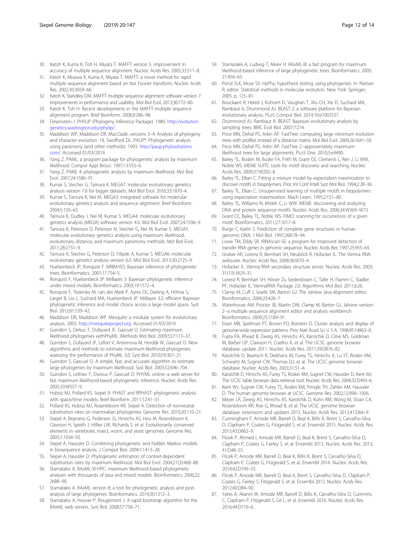- <span id="page-11-0"></span>30. Katoh K, Kuma K, Toh H, Miyata T. MAFFT version 5: improvement in accuracy of multiple sequence alignment. Nucleic Acids Res. 2005;33:511–8.
- 31. Katoh K, Misawa K, Kuma K, Miyata T. MAFFT: a novel method for rapid multiple sequence alignment based on fast Fourier transform. Nucleic Acids Res. 2002;30:3059–66.
- 32. Katoh K, Standley DM. MAFFT multiple sequence alignment software version 7: improvements in performance and usability. Mol Biol Evol. 2013;30:772–80.
- 33. Katoh K, Toh H. Recent developments in the MAFFT multiple sequence alignment program. Brief Bioinform. 2008;9:286–98.
- 34. Felsenstein J .PHYLIP (Phylogeny Inference Package). 1980. http://evolution. genetics.washington.edu/phylip/.
- 35. Maddison WP, Maddison DR. MacClade, versions 3–4: Analysis of phylogeny and character evolution. 18. Swofford DL. PAUP\*. Phylogenetic analysis using parsimony (and other methods). 1993. http://paup.phylosolutions. com/. Accessed 01/03/2019.
- 36. Yang Z. PAML: a program package for phylogenetic analysis by maximum likelihood. Comput Appl Biosci. 1997;13:555–6.
- 37. Yang Z. PAML 4: phylogenetic analysis by maximum likelihood. Mol Biol Evol. 2007;24:1586–91.
- 38. Kumar S, Stecher G, Tamura K. MEGA7: molecular evolutionary genetics analysis version 7.0 for bigger datasets. Mol Biol Evol. 2016;33:1870–4.
- 39. Kumar S, Tamura K, Nei M. MEGA3: integrated software for molecular evolutionary genetics analysis and sequence alignment. Brief Bioinform. 2004;5:150–63.
- 40. Tamura K, Dudley J, Nei M, Kumar S. MEGA4: molecular evolutionary genetics analysis (MEGA) software version 4.0. Mol Biol Evol. 2007;24:1596–9.
- 41. Tamura K, Peterson D, Peterson N, Stecher G, Nei M, Kumar S. MEGA5: molecular evolutionary genetics analysis using maximum likelihood, evolutionary distance, and maximum parsimony methods. Mol Biol Evol. 2011;28:2731–9.
- 42. Tamura K, Stecher G, Peterson D, Filipski A, Kumar S. MEGA6: molecular evolutionary genetics analysis version 6.0. Mol Biol Evol. 2013;30:2725–9.
- 43. Huelsenbeck JP, Ronquist F. MRBAYES: Bayesian inference of phylogenetic trees. Bioinformatics. 2001;17:754–5.
- 44. Ronquist F, Huelsenbeck JP. MrBayes 3: Bayesian phylogenetic inference under mixed models. Bioinformatics. 2003;19:1572–4.
- 45. Ronquist F, Teslenko M, van der Mark P, Ayres DL, Darling A, Höhna S, Larget B, Liu L, Suchard MA, Huelsenbeck JP. MrBayes 3.2: efficient Bayesian phylogenetic inference and model choice across a large model space. Syst Biol. 2012;61:539–42.
- 46. Maddison DR, Maddison WP. Mesquite: a modular system for evolutionary analysis. 2003. http://mesquiteproject.org. Accessed 01/03/2019.
- 47. Guindon S, Delsuc F, Dufayard JF, Gascuel O. Estimating maximum likelihood phylogenies withPhyML. Methods Mol Biol. 2009;537:113–37.
- 48. Guindon S, Dufayard JF, Lefort V, Anisimova M, Hordijk W, Gascuel O. New algorithms and methods to estimate maximum-likelihood phylogenies: assessing the performance of PhyML 3.0. Syst Biol. 2010;59:307–21.
- 49. Guindon S, Gascuel O. A simple, fast, and accurate algorithm to estimate large phylogenies by maximum likelihood. Syst Biol. 2003;52:696–704.
- 50. Guindon S, Lethiec F, Duroux P, Gascuel O. PHYML online--a web server for fast maximum likelihood-based phylogenetic inference. Nucleic Acids Res. 2005;33:W557–9.
- 51. Hubisz MJ, Pollard KS, Siepel A. PHAST and RPHAST: phylogenetic analysis with space/time models. Brief Bioinform. 2011;12:41–51.
- 52. Pollard KS, Hubisz MJ, Rosenbloom KR, Siepel A. Detection of nonneutral substitution rates on mammalian phylogenies. Genome Res. 2010;20:110–21.
- 53. Siepel A, Bejerano G, Pedersen JS, Hinrichs AS, Hou M, Rosenbloom K, Clawson H, Spieth J, Hillier LW, Richards S, et al. Evolutionarily conserved elements in vertebrate, insect, worm, and yeast genomes. Genome Res. 2005;1:1034–50.
- 54. Siepel A, Haussler D. Combining phylogenetic and hidden Markov models in biosequence analysis. J Comput Biol. 2004;11:413–28.
- 55. Siepel A, Haussler D. Phylogenetic estimation of context-dependent substitution rates by maximum likelihood. Mol Biol Evol. 2004;21(3):468–88.
- 56. Stamatakis A. RAxML-VI-HPC: maximum likelihood-based phylogenetic analyses with thousands of taxa and mixed models. Bioinformatics. 2006;22: 2688–90.
- 57. Stamatakis A. RAxML version 8: a tool for phylogenetic analysis and postanalysis of large phylogenies. Bioinformatics. 2014;30:1312–3.
- 58. Stamatakis A, Hoover P, Rougemont J. A rapid bootstrap algorithm for the RAxML web servers. Syst Biol. 2008;57:758–71.
- 59. Stamatakis A, Ludwig T, Meier H. RAxML-III: a fast program for maximum likelihood-based inference of large phylogenetic trees. Bioinformatics. 2005; 21:456–63.
- 60. Pond SLK, Muse SV. HyPhy: hypothesis testing using phylogenies. In: Nielsen R, editor. Statistical methods in molecular evolution. New York: Springer; 2005. p. 125–81.
- 61. Bouckaert R, Heled J, Kühnert D, Vaughan T, Wu CH, Xie D, Suchard MA, Rambaut A, Drummond AJ. BEAST 2: a software platform for Bayesian evolutionary analysis. PLoS Comput Biol. 2014;10:e1003537.
- 62. Drummond AJ, Rambaut A. BEAST: Bayesian evolutionary analysis by sampling trees. BMC Evol Biol. 2007;7:214.
- 63. Price MN, Dehal PS, Arkin AP. FastTree: computing large minimum evolution trees with profiles instead of a distance matrix. Mol Biol Evol. 2009;26:1641–50.
- 64. Price MN, Dehal PS, Arkin AP. FastTree 2--approximately maximumlikelihood trees for large alignments. PLoS One. 2010;5:e9490.
- Bailey TL, Boden M, Buske FA, Frith M, Grant CE, Clementi L, Ren J, Li WW, Noble WS. MEME SUITE: tools for motif discovery and searching. Nucleic Acids Res. 2009;37:W202–8.
- 66. Bailey TL, Elkan C. Fitting a mixture model by expectation maximization to discover motifs in biopolymers. Proc Int Conf Intell Syst Mol Biol. 1994;2:28–36.
- 67. Bailey TL, Elkan C. Unsupervised learning of multiple motifs in biopolymers using expectation maximization. Mach Learn. 1995;21:51–80.
- 68. Bailey TL, Williams N, Misleh C, Li WW. MEME: discovering and analyzing DNA and protein sequence motifs. Nucleic Acids Res. 2006;34:W369–W73.
- Grant CE, Bailey TL, Noble WS. FIMO: scanning for occurrences of a given motif. Bioinformatics. 2011;27:1017–8.
- 70. Burge C, Karlin S. Prediction of complete gene structures in human genomic DNA. J Mol Biol. 1997;268:78–94.
- 71. Lowe TM, Eddy SR. tRNAscan-SE: a program for improved detection of transfer RNA genes in genomic sequence. Nucleic Acids Res. 1997;25:955–64.
- 72. Gruber AR, Lorenz R, Bernhart SH, Neuböck R, Hofacker IL. The Vienna RNA websuite. Nucleic Acids Res. 2008;36:W70–4.
- 73. Hofacker IL. Vienna RNA secondary structure server. Nucleic Acids Res. 2003; 31(13):3429–31.
- 74. Lorenz R, Bernhart SH, Höner Zu Siederdissen C, Tafer H, Flamm C, Stadler PF, Hofacker IL. ViennaRNA Package 2.0. Algorithms Mol Biol. 2011;6:26.
- 75. Clamp M, Cuff J, Searle SM, Barton GJ. The Jalview Java alignment editor. Bioinformatics. 2004;20:426–7.
- 76. Waterhouse AM, Procter JB, Martin DM, Clamp M, Barton GJ. Jalview version 2--a multiple sequence alignment editor and analysis workbench. Bioinformatics. 2009;25:1189–91.
- 77. Eisen MB, Spellman PT, Brown PO, Botstein D. Cluster analysis and display of genome-wide expression patterns. Proc Natl Acad Sci U S A. 1998;95:14863–8.
- 78. Fujita PA, Rhead B, Zweig AS, Hinrichs AS, Karolchik D, Cline MS, Goldman M, Barber GP, Clawson H, Coelho A, et al. The UCSC genome browser database: update 2011. Nucleic Acids Res. 2011;39:D876–82.
- 79. Karolchik D, Beartsch R, Diekhans M, Furey TS, Hinrichs A, Lu YT, Roskin KM, Schwartz M, Sugnet CW, Thomas DJ, et al. The UCSC genome browser database. Nucleic Acids Res. 2003;31:51–4.
- 80. Karolchik D, Hinrichs AS, Furey TS, Roskin KM, Sugnet CW, Haussler D, Kent WJ. The UCSC table browser data retrieval tool. Nucleic Acids Res. 2004;32:D493–6.
- 81. Kent WJ, Sugnet CW, Furey TS, Roskin KM, Pringle TH, Zahler AM, Haussler D. The human genome browser at UCSC. Genome Res. 2002;12:996–1006.
- Meyer LR, Zweig AS, Hinrichs AS, Karolchik D, Kuhn RM, Wong M, Sloan CA, Rosenbloom KR, Roe G, Rhead B, et al. The UCSC genome browser database: extensions and updates 2013. Nucleic Acids Res. 2013;41:D64–9.
- 83. Cunningham F, Amode MR, Barrell D, Beal K, Billis K, Brent S, Carvalho-Silva D, Clapham P, Coates G, Fitzgerald S, et al. Ensembl 2015. Nucleic Acids Res. 2015;43:D662–9.
- 84. Flicek P, Ahmed I, Amode MR, Barrell D, Beal K, Brent S, Carvalho-Silva D, Clapham P, Coates G, Fairley S, et al. Ensembl 2013. Nucleic Acids Res. 2013; 41:D48–55.
- 85. Flicek P, Amode MR, Barrell D, Beal K, Billis K, Brent S, Carvalho-Silva D, Clapham P, Coates G, Fitzgerald S, et al. Ensembl 2014. Nucleic Acids Res. 2014;42:D749–55.
- 86. Flicek P, Amode MR, Barrell D, Beal K, Brent S, Carvalho-Silva D, Clapham P, Coates G, Fairley S, Fitzgerald S, et al. Ensembl 2012. Nucleic Acids Res. 2012;40:D84–90.
- 87. Yates A, Akanni W, Amode MR, Barrell D, Billis K, Carvalho-Silva D, Cummins C, Clapham P, Fitzgerald S, Gil L, et al. Ensembl 2016. Nucleic Acids Res. 2016;44:D710–6.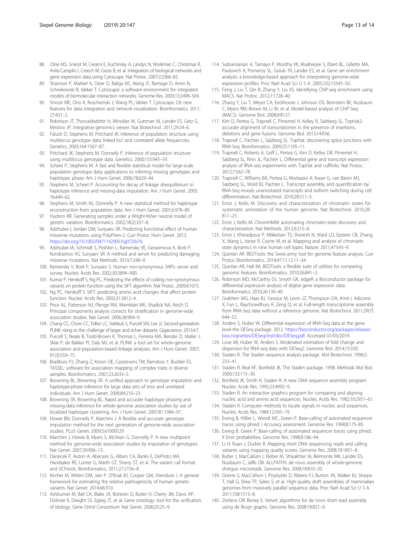- <span id="page-12-0"></span>88. Cline MS, Smoot M, Cerami E, Kuchinsky A, Landys N, Workman C, Christmas R, Avila-Campilo I, Creech M, Gross B, et al. Integration of biological networks and gene expression data using Cytoscape. Nat Protoc. 2007;2:2366–82.
- 89. Shannon P, Markiel A, Ozier O, Baliga NS, Wang JT, Ramage D, Amin N, Schwikowski B, Ideker T. Cytoscape: a software environment for integrated models of biomolecular interaction networks. Genome Res. 2003;13:2498–504.
- 90. Smoot ME, Ono K, Ruscheinski J, Wang PL, Ideker T. Cytoscape 2.8: new features for data integration and network visualization. Bioinformatics, 2011; 27:431–2.
- 91. Robinson JT, Thorvaldsdóttir H, Winckler W, Guttman M, Lander ES, Getz G, Mesirov JP. Integrative genomics viewer. Nat Biotechnol. 2011;29:24–6.
- 92. Falush D, Stephens M, Pritchard JK. Inference of population structure using multilocus genotype data: linked loci and correlated allele frequencies. Genetics. 2003;164:1567–87.
- 93. Pritchard JK, Stephens M, Donnelly P. Inference of population structure using multilocus genotype data. Genetics. 2000;155:945–59.
- 94. Scheet P, Stephens M. A fast and flexible statistical model for large-scale population genotype data: applications to inferring missing genotypes and haplotypic phase. Am J Hum Genet. 2006;78:629–44.
- 95. Stephens M, Scheet P. Accounting for decay of linkage disequilibrium in haplotype inference and missing-data imputation. Am J Hum Genet. 2005; 76:449–62.
- 96. Stephens M, Smith NJ, Donnelly P. A new statistical method for haplotype reconstruction from population data. Am J Hum Genet. 2001;6:978–89.
- Hudson RR. Generating samples under a Wright-fisher neutral model of genetic variation. Bioinformatics. 2002;18(2):337–8.
- 98. Adzhubei I, Jordan DM, Sunyaev SR. Predicting functional effect of human missense mutations using PolyPhen-2. Curr Protoc Hum Genet. 2013. https://doi.org/10.1002/0471142905.hg0720s76.
- 99. Adzhubei IA, Schmidt S, Peshkin L, Ramensky VE, Gerasimova A, Bork P, Kondrashov AS, Sunyaev SR. A method and server for predicting damaging missense mutations. Nat Methods. 2010;7:248–9.
- 100. Ramensky V, Bork P, Sunyaev S. Human non-synonymous SNPs: server and survey. Nucleic Acids Res. 2002;30:3894–900.
- 101. Kumar P, Henikoff S, Ng PC. Predicting the effects of coding non-synonymous variants on protein function using the SIFT algorithm. Nat Protoc. 2009;4:1073.
- 102. Ng PC, Henikoff S. SIFT: predicting amino acid changes that affect protein function. Nucleic Acids Res. 2003;31:3812–4.
- 103. Price AL, Patterson NJ, Plenge RM, Weinblatt ME, Shadick NA, Reich D. Principal components analysis corrects for stratification in genome-wide association studies. Nat Genet. 2006;38:904–9.
- 104. Chang CC, Chow CC, Tellier LC, Vattikuti S, Purcell SM, Lee JJ. Second-generation PLINK: rising to the challenge of larger and richer datasets. Gigascience. 2015;4:7.
- 105. Purcell S, Neale B, Todd-Brown K, Thomas L, Ferreira MA, Bender D, Maller J, Sklar P, de Bakker PI, Daly MJ, et al. PLINK: a tool set for whole-genome association and population-based linkage analyses. Am J Hum Genet. 2007; 81(3):559–75.
- 106. Bradbury PJ, Zhang Z, Kroon DE, Casstevens TM, Ramdoss Y, Buckler ES. TASSEL: software for association mapping of complex traits in diverse samples. Bioinformatics. 2007;23:2633–5.
- 107. Browning BL, Browning SR. A unified approach to genotype imputation and haplotype-phase inference for large data sets of trios and unrelated individuals. Am J Hum Genet. 2009;84:210–23.
- 108. Browning SR, Browning BL. Rapid and accurate haplotype phasing and missing-data inference for whole-genome association studies by use of localized haplotype clustering. Am J Hum Genet. 2007;81:1084–97.
- 109. Howie BN, Donnelly P, Marchini J. A flexible and accurate genotype imputation method for the next generation of genome-wide association studies. PLoS Genet. 2009;5:e1000529.
- 110. Marchini J, Howie B, Myers S, McVean G, Donnelly P. A new multipoint method for genome-wide association studies by imputation of genotypes. Nat Genet. 2007;39:906–13.
- 111. Danecek P, Auton A, Abecasis G, Albers CA, Banks E, DePristo MA, Handsaker RE, Lunter G, Marth GT, Sherry ST, et al. The variant call format and VCFtools. Bioinformatics. 2011;27:2156–8.
- 112. Kircher M, Witten DM, Jain P, O'Roak BJ, Cooper GM, Shendure J. A general framework for estimating the relative pathogenicity of human genetic variants. Nat Genet. 2014;46:310.
- 113. Ashburner M, Ball CA, Blake JA, Botstein D, Butler H, Cherry JM, Davis AP, Dolinski K, Dwight SS, Eppig JT, et al. Gene ontology: tool for the unification of biology. Gene Ontol Consortium Nat Genet. 2000;25:25–9.
- 114. Subramanian A, Tamayo P, Mootha VK, Mukherjee S, Ebert BL, Gillette MA, Paulovich A, Pomeroy SL, Golub TR, Lander ES, et al. Gene set enrichment analysis: a knowledge-based approach for interpreting genome-wide expression profiles. Proc Natl Acad Sci U S A. 2005;102:15545–50.
- 115. Feng J, Liu T, Qin B, Zhang Y, Liu XS. Identifying ChIP-seq enrichment using MACS. Nat Protoc. 2012;7:1728–40.
- 116. Zhang Y, Liu T, Meyer CA, Eeckhoute J, Johnson DS, Bernstein BE, Nusbaum C, Myers RM, Brown M, Li W, et al. Model-based analysis of ChIP-Seq (MACS). Genome Biol. 2008;9:R137.
- 117. Kim D, Pertea G, Trapnell C, Pimentel H, Kelley R, Salzberg SL. TopHat2: accurate alignment of transcriptomes in the presence of insertions, deletions and gene fusions. Genome Biol. 2013;14:R36.
- 118. Trapnell C, Pachter L, Salzberg SL. TopHat: discovering splice junctions with RNA-Seq. Bioinformatics. 2009;25:1105–11.
- 119. Trapnell C, Roberts A, Goff L, Pertea G, Kim D, Kelley DR, Pimentel H, Salzberg SL, Rinn JL, Pachter L. Differential gene and transcript expression analysis of RNA-seq experiments with TopHat and cufflinks. Nat Protoc. 2012;7:562–78.
- 120. Trapnell C, Williams BA, Pertea G, Mortazavi A, Kwan G, van Baren MJ, Salzberg SL, Wold BJ, Pachter L. Transcript assembly and quantification by RNA-Seq reveals unannotated transcripts and isoform switching during cell differentiation. Nat Biotechnol. 2010;28:511–5.
- 121. Ernst J, Kellis M. Discovery and characterization of chromatin states for systematic annotation of the human genome. Nat Biotechnol. 2010;28: 817–25.
- 122. Ernst J, Kellis M. ChromHMM: automating chromatin-state discovery and characterization. Nat Methods. 2012;9:215–6.
- 123. Ernst J, Kheradpour P, Mikkelsen TS, Shoresh N, Ward LD, Epstein CB, Zhang X, Wang L, Issner R, Coyne M, et al. Mapping and analysis of chromatin state dynamics in nine human cell types. Nature. 2011;473:43–9.
- 124. Quinlan AR. BEDTools: the Swiss-army tool for genome feature analysis. Curr Protoc Bioinformatics. 2014;47:11.12.11–34.
- 125. Quinlan AR, Hall IM. BEDTools: a flexible suite of utilities for comparing genomic features. Bioinformatics. 2010;26:841–2.
- 126. Robinson MD, McCarthy DJ, Smyth GK. edgeR: a Bioconductor package for differential expression analysis of digital gene expression data. Bioinformatics. 2010;26:139–40.
- 127. Grabherr MG, Haas BJ, Yassour M, Levin JZ, Thompson DA, Amit I, Adiconis X, Fan L, Raychowdhury R, Zeng Q, et al. Full-length transcriptome assembly from RNA-Seq data without a reference genome. Nat Biotechnol. 2011;29(7): 644–52.
- 128. Anders S, Huber W. Differential expression of RNA-Seq data at the gene level-the DESeq package. 2012. https://bioconductor.org/packages/release/ bioc/vignettes/DESeq/inst/doc/DESeq.pdf. Accessed 01/03/2019.
- 129. Love MI, Huber W, Anders S. Moderated estimation of fold change and dispersion for RNA-seq data with DESeq2. Genome Biol. 2014;15:550.
- 130. Staden R. The Staden sequence analysis package. Mol Biotechnol. 1996;5: 233–41.
- 131. Staden R, Beal KF, Bonfield JK. The Staden package, 1998. Methods Mol Biol. 2000;132:115–30.
- 132. Bonfield JK, Smith K, Staden R. A new DNA sequence assembly program. Nucleic Acids Res. 1995;23:4992–9.
- 133. Staden R. An interactive graphics program for comparing and aligning nucleic acid and amino acid sequences. Nucleic Acids Res. 1982;10:2951–61.
- 134. Staden R. Computer methods to locate signals in nucleic acid sequences. Nucleic Acids Res. 1984;12:505–19.
- 135. Ewing B, Hillier L, Wendl MC, Green P. Base-calling of automated sequencer traces using phred. I Accuracy assessment. Genome Res. 1998;8:175–85.
- 136. Ewing B, Green P. Base-calling of automated sequencer traces using phred. II Error probabilities. Genome Res. 1998;8:186–94.
- 137. Li H, Ruan J, Durbin R. Mapping short DNA sequencing reads and calling variants using mapping quality scores. Genome Res. 2008;18:1851–8.
- 138. Butler J, MacCallum I, Kleber M, Shlyakhter IA, Belmonte MK, Lander ES, Nusbaum C, Jaffe DB. ALLPATHS: de novo assembly of whole-genome shotgun microreads. Genome Res. 2008;18:810–20.
- 139. Gnerre S, MacCallum I, Przybylski D, Ribeiro FJ, Burton JN, Walker BJ, Sharpe T, Hall G, Shea TP, Sykes S, et al. High-quality draft assemblies of mammalian genomes from massively parallel sequence data. Proc Natl Acad Sci U S A. 2011;108:1513–8.
- 140. Zerbino DR, Birney E. Velvet: algorithms for de novo short read assembly using de Bruijn graphs. Genome Res. 2008;18:821–9.